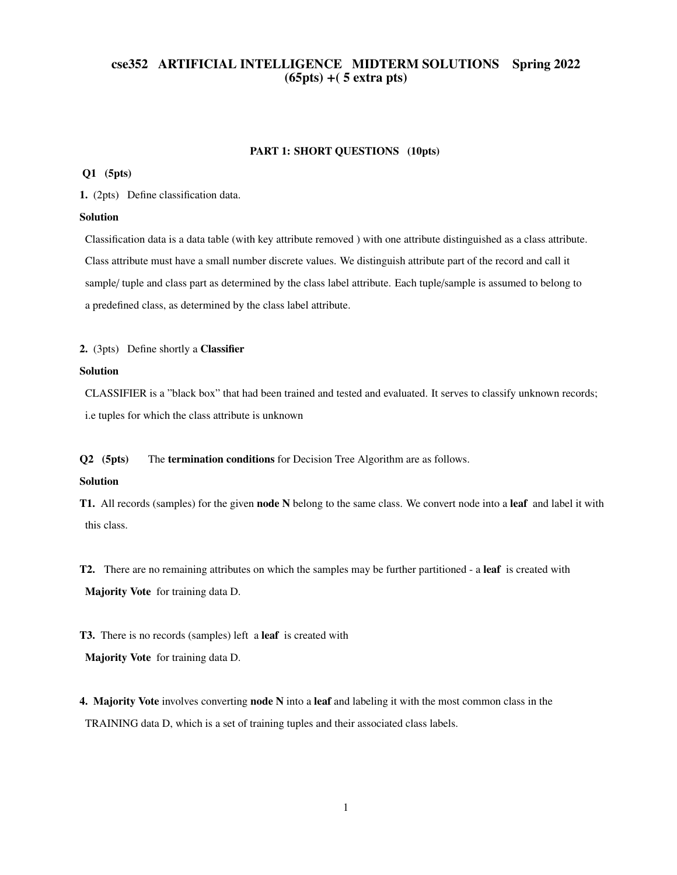# cse352 ARTIFICIAL INTELLIGENCE MIDTERM SOLUTIONS Spring 2022 (65pts) +( 5 extra pts)

### PART 1: SHORT QUESTIONS (10pts)

# Q1 (5pts)

1. (2pts) Define classification data.

### Solution

Classification data is a data table (with key attribute removed ) with one attribute distinguished as a class attribute. Class attribute must have a small number discrete values. We distinguish attribute part of the record and call it sample/ tuple and class part as determined by the class label attribute. Each tuple/sample is assumed to belong to a predefined class, as determined by the class label attribute.

## 2. (3pts) Define shortly a Classifier

# Solution

CLASSIFIER is a "black box" that had been trained and tested and evaluated. It serves to classify unknown records; i.e tuples for which the class attribute is unknown

Q2 (5pts) The termination conditions for Decision Tree Algorithm are as follows.

### Solution

T1. All records (samples) for the given **node N** belong to the same class. We convert node into a leaf and label it with this class.

T2. There are no remaining attributes on which the samples may be further partitioned - a leaf is created with Majority Vote for training data D.

T3. There is no records (samples) left a leaf is created with Majority Vote for training data D.

4. Majority Vote involves converting node N into a leaf and labeling it with the most common class in the TRAINING data D, which is a set of training tuples and their associated class labels.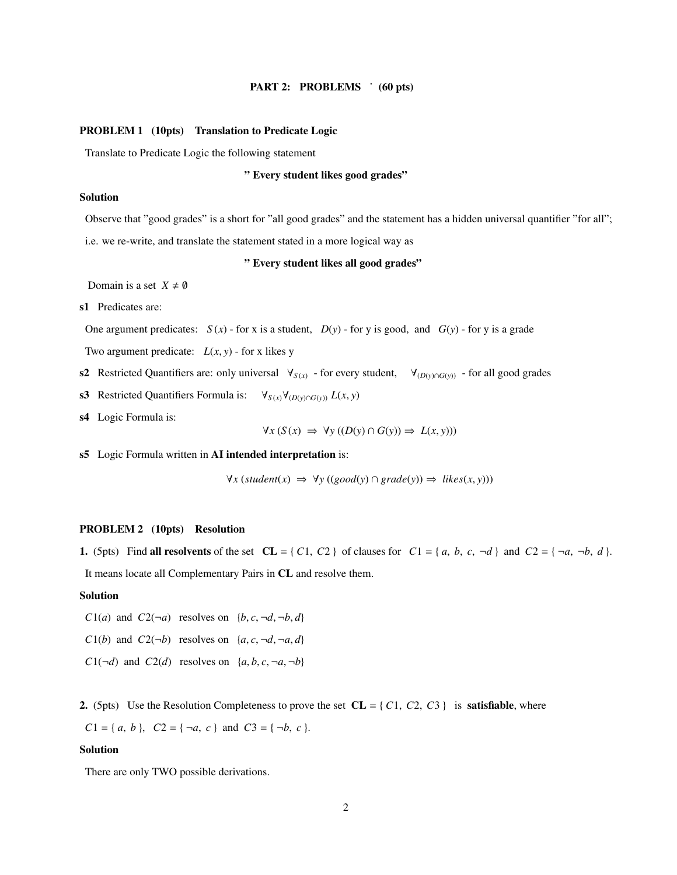# PART 2: PROBLEMS <sup>:</sup> (60 pts)

#### PROBLEM 1 (10pts) Translation to Predicate Logic

Translate to Predicate Logic the following statement

### " Every student likes good grades"

# Solution

Observe that "good grades" is a short for "all good grades" and the statement has a hidden universal quantifier "for all"; i.e. we re-write, and translate the statement stated in a more logical way as

### " Every student likes all good grades"

Domain is a set  $X \neq \emptyset$ 

s1 Predicates are:

One argument predicates:  $S(x)$  - for x is a student,  $D(y)$  - for y is good, and  $G(y)$  - for y is a grade

Two argument predicate:  $L(x, y)$  - for x likes y

- s2 Restricted Quantifiers are: only universal  $\forall$ <sub>*S*(*x*)</sub> for every student,  $\forall$ <sub>(*D*(*y*)∩*G*(*y*)) for all good grades</sub>
- s3 Restricted Quantifiers Formula is:  $\forall_{S(x)} \forall_{(D(y) \cap G(y))} L(x, y)$
- s4 Logic Formula is:

$$
\forall x (S(x) \Rightarrow \forall y ((D(y) \cap G(y)) \Rightarrow L(x, y)))
$$

s5 Logic Formula written in AI intended interpretation is:

$$
\forall x (student(x) \implies \forall y ((good(y) \cap grade(y)) \implies likes(x, y)))
$$

# PROBLEM 2 (10pts) Resolution

1. (5pts) Find all resolvents of the set  $CL = \{C1, C2\}$  of clauses for  $Cl = \{a, b, c, \neg d\}$  and  $C2 = \{\neg a, \neg b, d\}$ . It means locate all Complementary Pairs in CL and resolve them.

### Solution

- *C*1(*a*) and *C*2( $\neg a$ ) resolves on {*b*, *c*,  $\neg d$ ,  $\neg b$ , *d*}
- *C*1(*b*) and *C*2( $\neg$ *b*) resolves on {*a*, *c*,  $\neg$ *d*,  $\neg$ *a*, *d*}
- $C1(\neg d)$  and  $C2(d)$  resolves on  $\{a, b, c, \neg a, \neg b\}$

2. (5pts) Use the Resolution Completeness to prove the set  $CL = \{ C1, C2, C3 \}$  is **satisfiable**, where

 $C1 = \{a, b\}, C2 = \{\neg a, c\}$  and  $C3 = \{\neg b, c\}.$ 

#### Solution

There are only TWO possible derivations.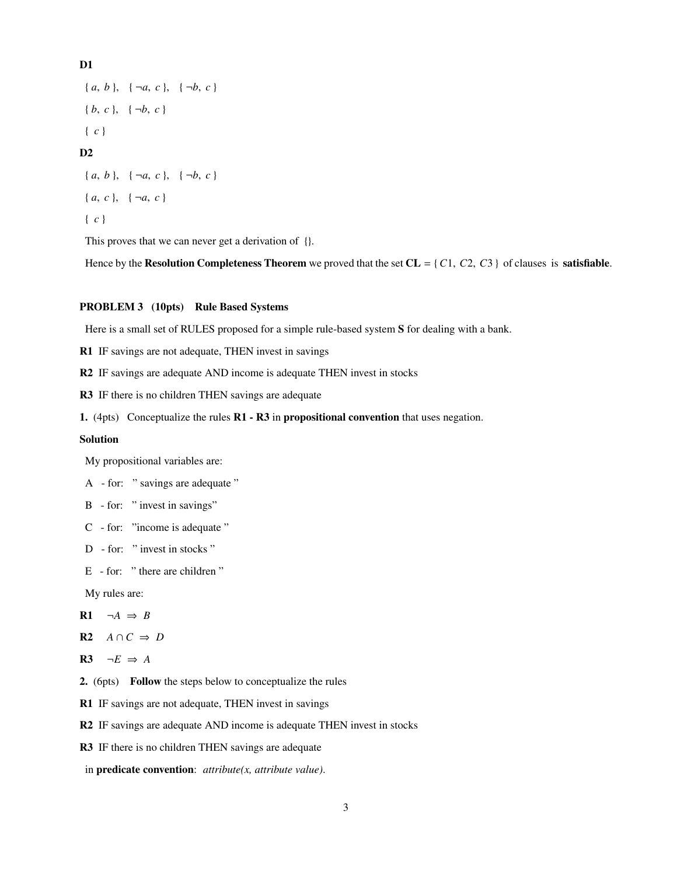D1

 ${a, b}, \{\neg a, c\}, \{\neg b, c\}$  ${b, c}, \{-b, c\}$ { *c* }  $D2$  ${a, b}, { \neg a, c}, { \neg b, c}$  $\{a, c\}, \{\neg a, c\}$ 

{ *c* }

This proves that we can never get a derivation of  $\{ \}$ .

Hence by the Resolution Completeness Theorem we proved that the set  $CL = \{C1, C2, C3\}$  of clauses is **satisfiable**.

# PROBLEM 3 (10pts) Rule Based Systems

Here is a small set of RULES proposed for a simple rule-based system S for dealing with a bank.

R1 IF savings are not adequate, THEN invest in savings

R2 IF savings are adequate AND income is adequate THEN invest in stocks

R3 IF there is no children THEN savings are adequate

1. (4pts) Conceptualize the rules R1 - R3 in propositional convention that uses negation.

# Solution

My propositional variables are:

- A for: " savings are adequate "
- B for: " invest in savings"
- C for: "income is adequate "
- D for: " invest in stocks "
- E for: " there are children "

My rules are:

$$
R1 \quad \neg A \Rightarrow B
$$

$$
\mathbf{R2} \quad A \cap C \Rightarrow D
$$

- R3  $\neg E \Rightarrow A$
- 2. (6pts) Follow the steps below to conceptualize the rules
- R1 IF savings are not adequate, THEN invest in savings
- R2 IF savings are adequate AND income is adequate THEN invest in stocks
- R3 IF there is no children THEN savings are adequate
- in predicate convention: *attribute(x, attribute value)*.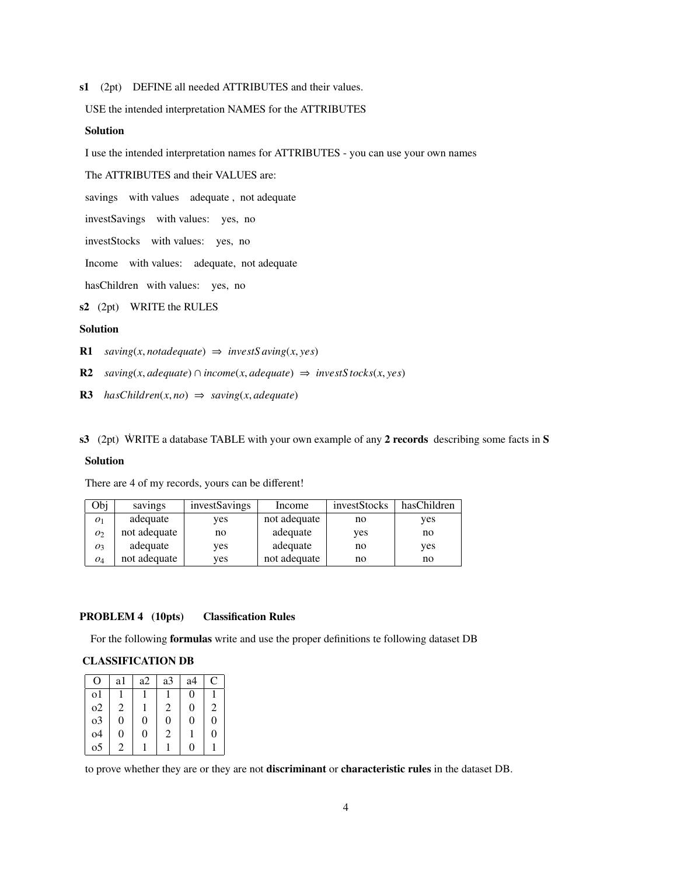s1 (2pt) DEFINE all needed ATTRIBUTES and their values.

USE the intended interpretation NAMES for the ATTRIBUTES

#### Solution

I use the intended interpretation names for ATTRIBUTES - you can use your own names

The ATTRIBUTES and their VALUES are:

savings with values adequate , not adequate

investSavings with values: yes, no

investStocks with values: yes, no

Income with values: adequate, not adequate

hasChildren with values: yes, no

s2 (2pt) WRITE the RULES

### Solution

R1  $saving(x, not adequate) \Rightarrow investSaving(x, yes)$ 

- R2 *saving*(*x*, *adequate*) ∩ *income*(*x*, *adequate*)  $\Rightarrow$  *investS tocks*(*x*, *yes*)
- R3  $hasChildren(x, no) \Rightarrow saving(x, adequate)$

s3 (2pt) WRITE a database TABLE with your own example of any 2 records describing some facts in  $S$ 

# Solution

There are 4 of my records, yours can be different!

| Obj              | savings      | investSavings | Income       | investStocks | hasChildren |
|------------------|--------------|---------------|--------------|--------------|-------------|
| 01               | adequate     | yes           | not adequate | no           | yes         |
| O <sub>2</sub>   | not adequate | no            | adequate     | yes          | no          |
| $\overline{O_3}$ | adequate     | yes           | adequate     | no           | yes         |
| 04               | not adequate | ves           | not adequate | no           | no          |

# PROBLEM 4 (10pts) Classification Rules

For the following formulas write and use the proper definitions te following dataset DB

#### CLASSIFICATION DB

| Ω        | a1 | a2       | a3 | a4                | C |
|----------|----|----------|----|-------------------|---|
| $\Omega$ |    |          |    | $\theta$          |   |
| o2       | 2  |          | 2  | 0                 | 2 |
| $_{03}$  | 0  | 0        | 0  | 0                 | 0 |
| o4       | 0  | $\theta$ | 2  |                   | 0 |
| 05       | 2  |          |    | $\mathbf{\Omega}$ |   |

to prove whether they are or they are not discriminant or characteristic rules in the dataset DB.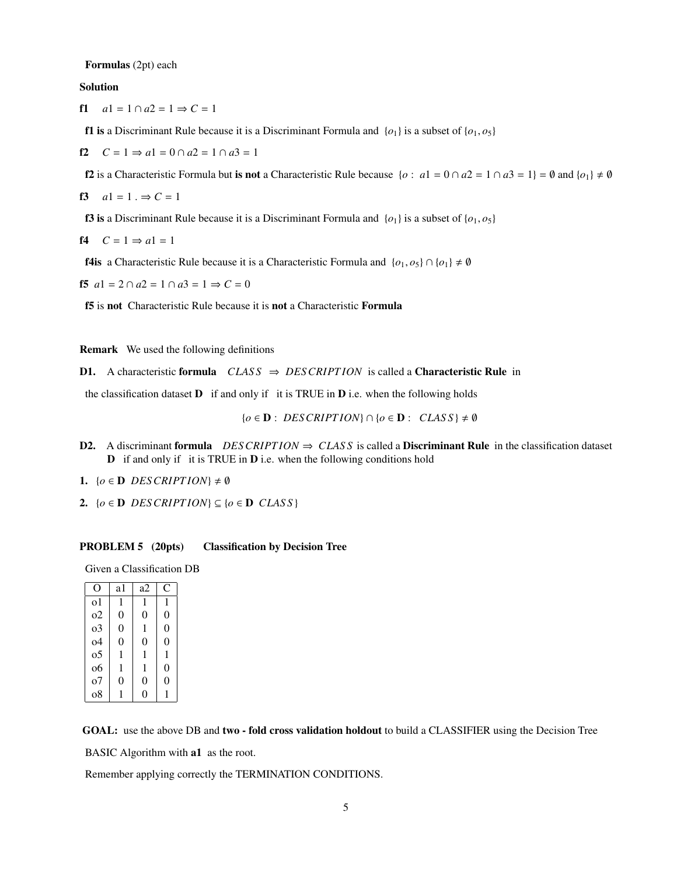Formulas (2pt) each

Solution

f1  $a1 = 1 \cap a2 = 1 \Rightarrow C = 1$ 

**f1 is** a Discriminant Rule because it is a Discriminant Formula and  $\{o_1\}$  is a subset of  $\{o_1, o_5\}$ 

f2  $C = 1 \Rightarrow a1 = 0 \cap a2 = 1 \cap a3 = 1$ 

f2 is a Characteristic Formula but is not a Characteristic Rule because  $\{o : a1 = 0 \cap a2 = 1 \cap a3 = 1\} = \emptyset$  and  $\{o_1\} \neq \emptyset$ 

$$
f3 \quad a1 = 1. \Rightarrow C = 1
$$

**f3** is a Discriminant Rule because it is a Discriminant Formula and  $\{o_1\}$  is a subset of  $\{o_1, o_5\}$ 

$$
f4 \quad C = 1 \Rightarrow a1 = 1
$$

**f4is** a Characteristic Rule because it is a Characteristic Formula and  $\{o_1, o_5\} \cap \{o_1\} \neq \emptyset$ 

**f5**  $a1 = 2 \cap a2 = 1 \cap a3 = 1 \Rightarrow C = 0$ 

f5 is not Characteristic Rule because it is not a Characteristic Formula

Remark We used the following definitions

**D1.** A characteristic formula  $CLASS \Rightarrow DESCRIPTION$  is called a **Characteristic Rule** in

the classification dataset  $\bf{D}$  if and only if it is TRUE in  $\bf{D}$  i.e. when the following holds

 ${o \in D : DESCRIPTION} ∩ {o \in D : CLASS} ≠ ∅$ 

- D2. A discriminant formula *DESCRIPTION*  $⇒$  *CLASS* is called a Discriminant Rule in the classification dataset D if and only if it is TRUE in D i.e. when the following conditions hold
- 1.  $\{o \in \mathbf{D} \text{ DES CRIPTION}\}\neq \emptyset$
- 2.  $\{o \in \mathbf{D} \text{ DES CRIPTION}\}\subseteq \{o \in \mathbf{D} \text{ CLASS}\}\$

#### PROBLEM 5 (20pts) Classification by Decision Tree

Given a Classification DB

| O              | a1             | a2       | C              |
|----------------|----------------|----------|----------------|
| $\Omega$       | 1              | 1        | 1              |
| $\Omega$       | $\theta$       | $\theta$ | $\overline{0}$ |
| 0 <sup>3</sup> | $\overline{0}$ | 1        | $\overline{0}$ |
| $\Omega$       | $\theta$       | $\theta$ | 0              |
| 0 <sub>5</sub> | 1              | 1        | 1              |
| 06             | 1              | 1        | $\theta$       |
| 0 <sub>0</sub> | 0              | 0        | 0              |
| 08             |                | O        |                |

GOAL: use the above DB and two - fold cross validation holdout to build a CLASSIFIER using the Decision Tree

BASIC Algorithm with **a1** as the root.

Remember applying correctly the TERMINATION CONDITIONS.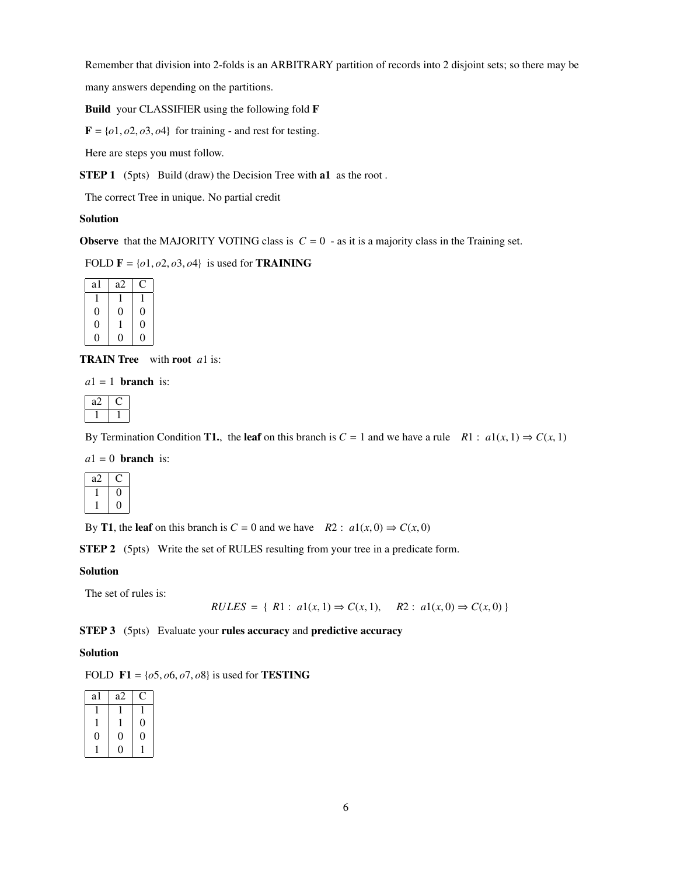Remember that division into 2-folds is an ARBITRARY partition of records into 2 disjoint sets; so there may be

many answers depending on the partitions.

Build your CLASSIFIER using the following fold F

 $F = \{o1, o2, o3, o4\}$  for training - and rest for testing.

Here are steps you must follow.

STEP 1 (5pts) Build (draw) the Decision Tree with a1 as the root.

The correct Tree in unique. No partial credit

# Solution

**Observe** that the MAJORITY VOTING class is  $C = 0$  - as it is a majority class in the Training set.

FOLD  $\mathbf{F} = \{o1, o2, o3, o4\}$  is used for **TRAINING** 

| a1 | a2 |   |
|----|----|---|
|    |    |   |
| 0  | Ü  | 0 |
| 0  |    | 0 |
| ۱) |    |   |

TRAIN Tree with root *a*1 is:

 $a1 = 1$  **branch** is:

By Termination Condition **T1.**, the leaf on this branch is  $C = 1$  and we have a rule  $R1 : a1(x, 1) \Rightarrow C(x, 1)$ 

 $a1 = 0$  **branch** is:

| aΖ |  |
|----|--|
|    |  |
|    |  |

By **T1**, the leaf on this branch is  $C = 0$  and we have  $R2 : a1(x, 0) \Rightarrow C(x, 0)$ 

STEP 2 (5pts) Write the set of RULES resulting from your tree in a predicate form.

# Solution

The set of rules is:

$$
RULES = \{ R1 : a1(x, 1) \Rightarrow C(x, 1), \quad R2 : a1(x, 0) \Rightarrow C(x, 0) \}
$$

STEP 3 (5pts) Evaluate your rules accuracy and predictive accuracy

# Solution

FOLD  $F1 = \{o5, o6, o7, o8\}$  is used for **TESTING** 

| al | a2 |                  |
|----|----|------------------|
|    |    |                  |
|    |    | $\boldsymbol{0}$ |
| D  | 0  | 0                |
|    |    |                  |